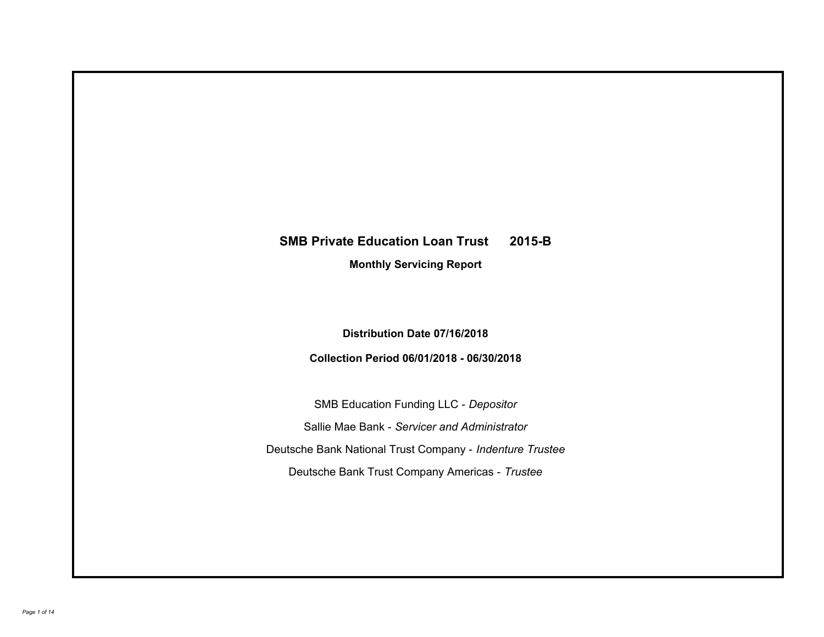# **SMB Private Education Loan Trust 2015-B**

**Monthly Servicing Report**

**Distribution Date 07/16/2018**

**Collection Period 06/01/2018 - 06/30/2018**

SMB Education Funding LLC - *Depositor* Sallie Mae Bank - *Servicer and Administrator* Deutsche Bank National Trust Company - *Indenture Trustee* Deutsche Bank Trust Company Americas - *Trustee*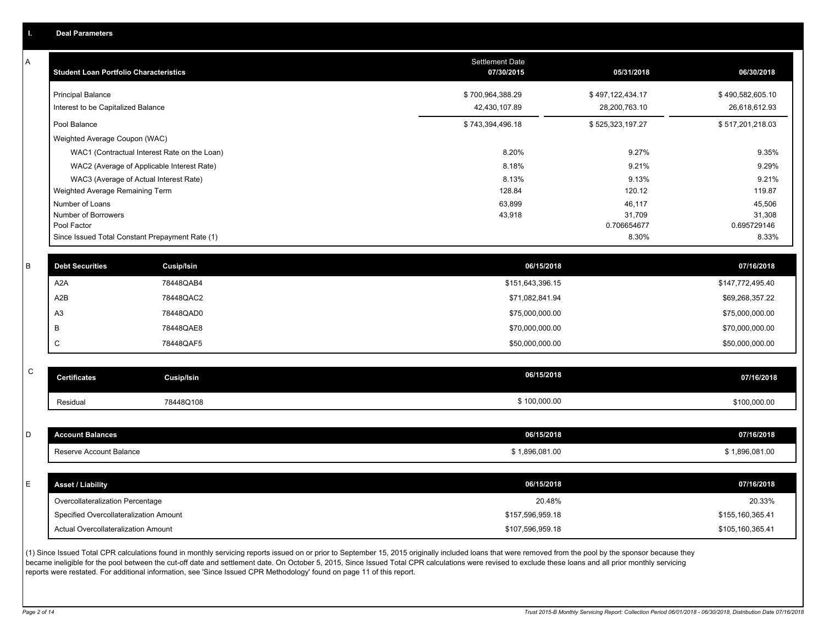|  | <b>Deal Parameters</b> |  |
|--|------------------------|--|
|  |                        |  |
|  |                        |  |

A

| <b>Student Loan Portfolio Characteristics</b>                  | <b>Settlement Date</b><br>07/30/2015 | 05/31/2018                        | 06/30/2018                        |
|----------------------------------------------------------------|--------------------------------------|-----------------------------------|-----------------------------------|
| <b>Principal Balance</b><br>Interest to be Capitalized Balance | \$700,964,388.29<br>42,430,107.89    | \$497,122,434.17<br>28,200,763.10 | \$490,582,605.10<br>26,618,612.93 |
| Pool Balance                                                   | \$743,394,496.18                     | \$525,323,197.27                  | \$517,201,218.03                  |
| Weighted Average Coupon (WAC)                                  |                                      |                                   |                                   |
| WAC1 (Contractual Interest Rate on the Loan)                   | 8.20%                                | 9.27%                             | 9.35%                             |
| WAC2 (Average of Applicable Interest Rate)                     | 8.18%                                | 9.21%                             | 9.29%                             |
| WAC3 (Average of Actual Interest Rate)                         | 8.13%                                | 9.13%                             | 9.21%                             |
| Weighted Average Remaining Term                                | 128.84                               | 120.12                            | 119.87                            |
| Number of Loans                                                | 63,899                               | 46,117                            | 45,506                            |
| Number of Borrowers                                            | 43,918                               | 31,709                            | 31,308                            |
| Pool Factor                                                    |                                      | 0.706654677                       | 0.695729146                       |
| Since Issued Total Constant Prepayment Rate (1)                |                                      | 8.30%                             | 8.33%                             |

| <b>Debt Securities</b> | <b>Cusip/Isin</b> | 06/15/2018       | 07/16/2018       |
|------------------------|-------------------|------------------|------------------|
| A2A                    | 78448QAB4         | \$151,643,396.15 | \$147,772,495.40 |
| A2B                    | 78448QAC2         | \$71,082,841.94  | \$69,268,357.22  |
| A <sub>3</sub>         | 78448QAD0         | \$75,000,000.00  | \$75,000,000.00  |
|                        | 78448QAE8         | \$70,000,000.00  | \$70,000,000.00  |
|                        | 78448QAF5         | \$50,000,000.00  | \$50,000,000.00  |

| $\sim$<br>◡ | <b>Certificates</b> | Cusip/Isin | 06/15/2018   | 07/16/2018   |
|-------------|---------------------|------------|--------------|--------------|
|             | <b>Residua</b>      | 78448Q108  | \$100,000.00 | \$100,000.00 |

| D  | <b>Account Balances</b>                | 06/15/2018       | 07/16/2018       |
|----|----------------------------------------|------------------|------------------|
|    | Reserve Account Balance                | \$1,896,081.00   | \$1,896,081.00   |
|    |                                        |                  |                  |
| E. | <b>Asset / Liability</b>               | 06/15/2018       | 07/16/2018       |
|    | Overcollateralization Percentage       | 20.48%           | 20.33%           |
|    | Specified Overcollateralization Amount | \$157,596,959.18 | \$155,160,365.41 |

(1) Since Issued Total CPR calculations found in monthly servicing reports issued on or prior to September 15, 2015 originally included loans that were removed from the pool by the sponsor because they became ineligible for the pool between the cut-off date and settlement date. On October 5, 2015, Since Issued Total CPR calculations were revised to exclude these loans and all prior monthly servicing reports were restated. For additional information, see 'Since Issued CPR Methodology' found on page 11 of this report.

Actual Overcollateralization Amount \$107,596,959.18

\$105,160,365.41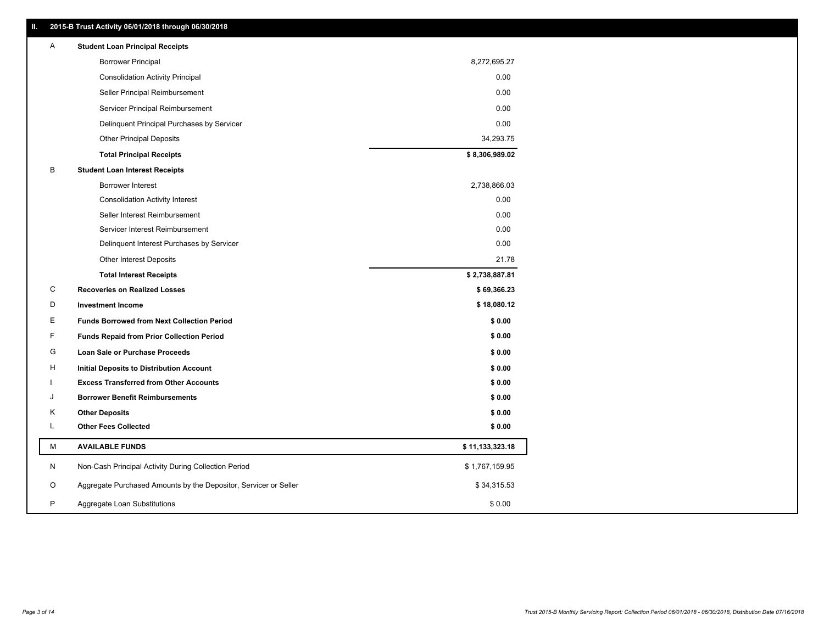|   | 2013-B Trust Activity 06/01/2016 through 06/30/2016              |                 |
|---|------------------------------------------------------------------|-----------------|
| A | <b>Student Loan Principal Receipts</b>                           |                 |
|   | <b>Borrower Principal</b>                                        | 8,272,695.27    |
|   | <b>Consolidation Activity Principal</b>                          | 0.00            |
|   | Seller Principal Reimbursement                                   | 0.00            |
|   | Servicer Principal Reimbursement                                 | 0.00            |
|   | Delinquent Principal Purchases by Servicer                       | 0.00            |
|   | <b>Other Principal Deposits</b>                                  | 34,293.75       |
|   | <b>Total Principal Receipts</b>                                  | \$8,306,989.02  |
| В | <b>Student Loan Interest Receipts</b>                            |                 |
|   | Borrower Interest                                                | 2,738,866.03    |
|   | <b>Consolidation Activity Interest</b>                           | 0.00            |
|   | Seller Interest Reimbursement                                    | 0.00            |
|   | Servicer Interest Reimbursement                                  | 0.00            |
|   | Delinquent Interest Purchases by Servicer                        | 0.00            |
|   | <b>Other Interest Deposits</b>                                   | 21.78           |
|   | <b>Total Interest Receipts</b>                                   | \$2,738,887.81  |
| С | <b>Recoveries on Realized Losses</b>                             | \$69,366.23     |
| D | <b>Investment Income</b>                                         | \$18,080.12     |
| Е | <b>Funds Borrowed from Next Collection Period</b>                | \$0.00          |
| F | <b>Funds Repaid from Prior Collection Period</b>                 | \$0.00          |
| G | Loan Sale or Purchase Proceeds                                   | \$0.00          |
| н | Initial Deposits to Distribution Account                         | \$0.00          |
|   | <b>Excess Transferred from Other Accounts</b>                    | \$0.00          |
| J | <b>Borrower Benefit Reimbursements</b>                           | \$0.00          |
| Κ | <b>Other Deposits</b>                                            | \$0.00          |
| L | <b>Other Fees Collected</b>                                      | \$0.00          |
| М | <b>AVAILABLE FUNDS</b>                                           | \$11,133,323.18 |
| N | Non-Cash Principal Activity During Collection Period             | \$1,767,159.95  |
| O | Aggregate Purchased Amounts by the Depositor, Servicer or Seller | \$34,315.53     |
| P | Aggregate Loan Substitutions                                     | \$0.00          |

**II. 2015-B Trust Activity 06/01/2018 through 06/30/2018**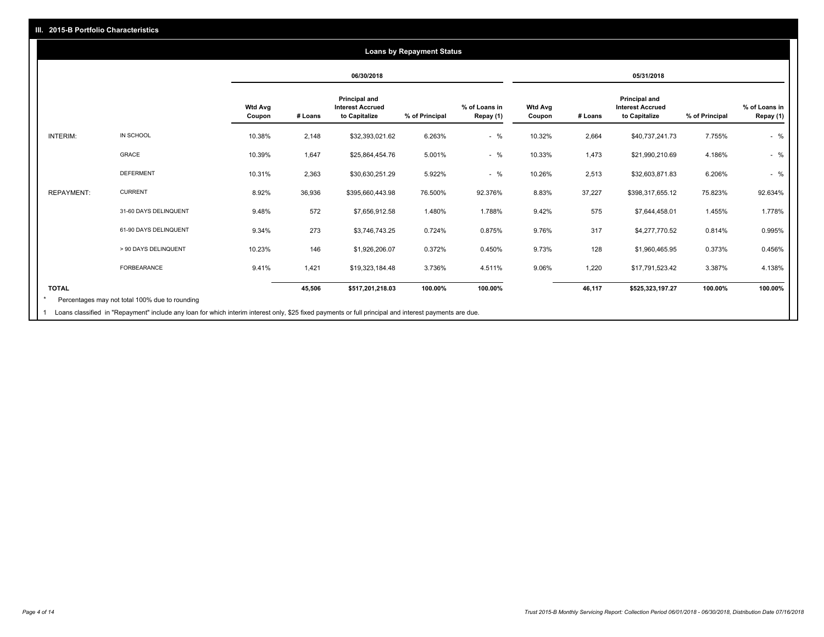#### **06/30/2018 05/31/2018 Wtd Avg Coupon # Loans Principal and Interest Accrued to Capitalize % of Principal % of Loans in Repay (1) Wtd Avg Coupon # Loans Principal and Interest Accrued to Capitalize % of Principal % of Loans in Repay (1)**  INTERIM: IN SCHOOL 10.38% 2,148 \$32,393,021.62 6.263% - % 10.32% 2,664 \$40,737,241.73 7.755% - % GRACE 10.39% 1,647 \$25,864,454.76 5.001% - % 10.33% 1,473 \$21,990,210.69 4.186% - % DEFERMENT 10.31% 2,363 \$30,630,251.29 5.922% - % 10.26% 2,513 \$32,603,871.83 6.206% - % REPAYMENT: CURRENT 8.92% 36,936 \$395,660,443.98 76.500% 92.376% 8.83% 37,227 \$398,317,655.12 75.823% 92.634% 31-60 DAYS DELINQUENT 9.48% 572 \$7,656,912.58 1.480% 1.788% 9.42% 575 \$7,644,458.01 1.455% 1.778% 61-90 DAYS DELINQUENT 9.34% 273 \$3,746,743.25 0.724% 0.875% 9.76% 317 \$4,277,770.52 0.814% 0.995% > 90 DAYS DELINQUENT 10.23% 146 \$1,926,206.07 0.372% 0.450% 9.73% 128 \$1,960,465.95 0.373% 0.456% FORBEARANCE 9.41% 1,421 \$19,323,184.48 3.736% 4.511% 9.06% 1,220 \$17,791,523.42 3.387% 4.138% **TOTAL 45,506 \$517,201,218.03 100.00% 100.00% 46,117 \$525,323,197.27 100.00% 100.00% Loans by Repayment Status** Percentages may not total 100% due to rounding \*

Loans classified in "Repayment" include any loan for which interim interest only, \$25 fixed payments or full principal and interest payments are due. 1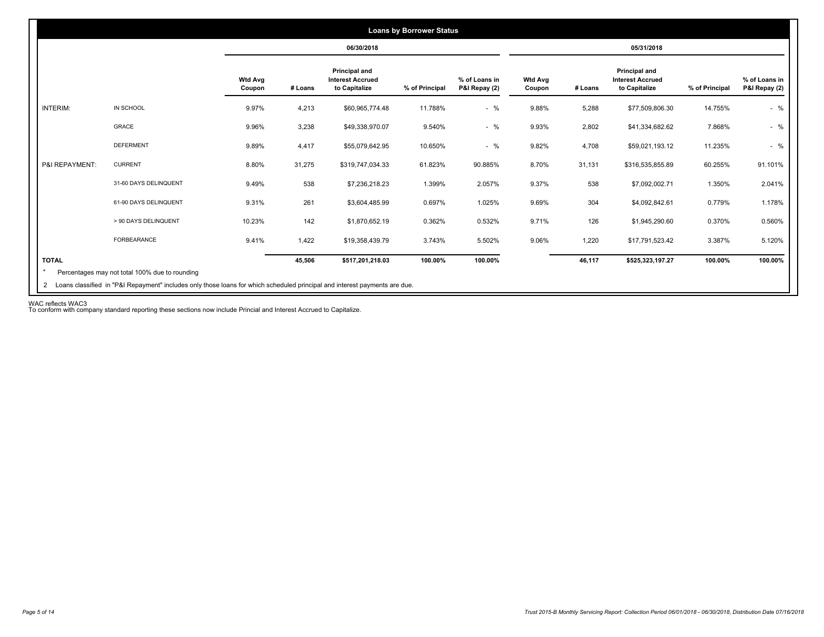|                 |                       |                          |         | 06/30/2018                                                |                |                                |                          |         | 05/31/2018                                                |                |                                |
|-----------------|-----------------------|--------------------------|---------|-----------------------------------------------------------|----------------|--------------------------------|--------------------------|---------|-----------------------------------------------------------|----------------|--------------------------------|
|                 |                       | <b>Wtd Avg</b><br>Coupon | # Loans | Principal and<br><b>Interest Accrued</b><br>to Capitalize | % of Principal | % of Loans in<br>P&I Repay (2) | <b>Wtd Avg</b><br>Coupon | # Loans | Principal and<br><b>Interest Accrued</b><br>to Capitalize | % of Principal | % of Loans in<br>P&I Repay (2) |
| <b>INTERIM:</b> | IN SCHOOL             | 9.97%                    | 4,213   | \$60,965,774.48                                           | 11.788%        | $-$ %                          | 9.88%                    | 5,288   | \$77,509,806.30                                           | 14.755%        | $-$ %                          |
|                 | GRACE                 | 9.96%                    | 3,238   | \$49,338,970.07                                           | 9.540%         | $-$ %                          | 9.93%                    | 2,802   | \$41,334,682.62                                           | 7.868%         | $-$ %                          |
|                 | <b>DEFERMENT</b>      | 9.89%                    | 4,417   | \$55,079,642.95                                           | 10.650%        | $-$ %                          | 9.82%                    | 4,708   | \$59,021,193.12                                           | 11.235%        | $-$ %                          |
| P&I REPAYMENT:  | <b>CURRENT</b>        | 8.80%                    | 31,275  | \$319,747,034.33                                          | 61.823%        | 90.885%                        | 8.70%                    | 31,131  | \$316,535,855.89                                          | 60.255%        | 91.101%                        |
|                 | 31-60 DAYS DELINQUENT | 9.49%                    | 538     | \$7,236,218.23                                            | 1.399%         | 2.057%                         | 9.37%                    | 538     | \$7,092,002.71                                            | 1.350%         | 2.041%                         |
|                 | 61-90 DAYS DELINQUENT | 9.31%                    | 261     | \$3,604,485.99                                            | 0.697%         | 1.025%                         | 9.69%                    | 304     | \$4,092,842.61                                            | 0.779%         | 1.178%                         |
|                 | > 90 DAYS DELINQUENT  | 10.23%                   | 142     | \$1,870,652.19                                            | 0.362%         | 0.532%                         | 9.71%                    | 126     | \$1,945,290.60                                            | 0.370%         | 0.560%                         |
|                 | FORBEARANCE           | 9.41%                    | 1,422   | \$19,358,439.79                                           | 3.743%         | 5.502%                         | 9.06%                    | 1,220   | \$17,791,523.42                                           | 3.387%         | 5.120%                         |
| <b>TOTAL</b>    |                       |                          | 45,506  | \$517,201,218.03                                          | 100.00%        | 100.00%                        |                          | 46,117  | \$525,323,197.27                                          | 100.00%        | 100.00%                        |

WAC reflects WAC3 To conform with company standard reporting these sections now include Princial and Interest Accrued to Capitalize.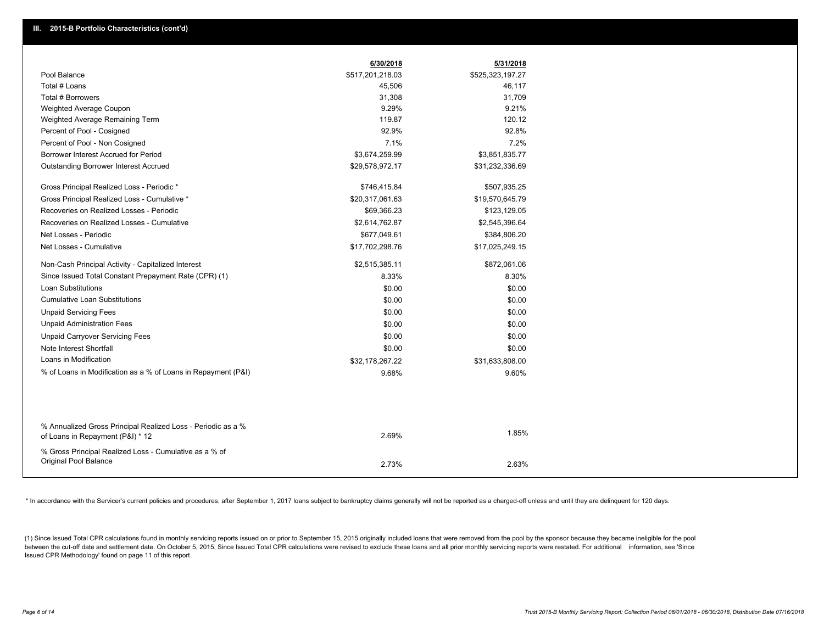|                                                                                                  | 6/30/2018        | 5/31/2018        |  |
|--------------------------------------------------------------------------------------------------|------------------|------------------|--|
| Pool Balance                                                                                     | \$517,201,218.03 | \$525,323,197.27 |  |
| Total # Loans                                                                                    | 45,506           | 46,117           |  |
| Total # Borrowers                                                                                | 31,308           | 31,709           |  |
| Weighted Average Coupon                                                                          | 9.29%            | 9.21%            |  |
| Weighted Average Remaining Term                                                                  | 119.87           | 120.12           |  |
| Percent of Pool - Cosigned                                                                       | 92.9%            | 92.8%            |  |
| Percent of Pool - Non Cosigned                                                                   | 7.1%             | 7.2%             |  |
| Borrower Interest Accrued for Period                                                             | \$3,674,259.99   | \$3,851,835.77   |  |
| Outstanding Borrower Interest Accrued                                                            | \$29,578,972.17  | \$31,232,336.69  |  |
| Gross Principal Realized Loss - Periodic *                                                       | \$746,415.84     | \$507,935.25     |  |
| Gross Principal Realized Loss - Cumulative *                                                     | \$20,317,061.63  | \$19,570,645.79  |  |
| Recoveries on Realized Losses - Periodic                                                         | \$69,366.23      | \$123,129.05     |  |
| Recoveries on Realized Losses - Cumulative                                                       | \$2,614,762.87   | \$2,545,396.64   |  |
| Net Losses - Periodic                                                                            | \$677,049.61     | \$384,806.20     |  |
| Net Losses - Cumulative                                                                          | \$17,702,298.76  | \$17,025,249.15  |  |
| Non-Cash Principal Activity - Capitalized Interest                                               | \$2,515,385.11   | \$872,061.06     |  |
| Since Issued Total Constant Prepayment Rate (CPR) (1)                                            | 8.33%            | 8.30%            |  |
| <b>Loan Substitutions</b>                                                                        | \$0.00           | \$0.00           |  |
| <b>Cumulative Loan Substitutions</b>                                                             | \$0.00           | \$0.00           |  |
| <b>Unpaid Servicing Fees</b>                                                                     | \$0.00           | \$0.00           |  |
| <b>Unpaid Administration Fees</b>                                                                | \$0.00           | \$0.00           |  |
| <b>Unpaid Carryover Servicing Fees</b>                                                           | \$0.00           | \$0.00           |  |
| Note Interest Shortfall                                                                          | \$0.00           | \$0.00           |  |
| Loans in Modification                                                                            | \$32,178,267.22  | \$31,633,808.00  |  |
| % of Loans in Modification as a % of Loans in Repayment (P&I)                                    | 9.68%            | 9.60%            |  |
|                                                                                                  |                  |                  |  |
| % Annualized Gross Principal Realized Loss - Periodic as a %<br>of Loans in Repayment (P&I) * 12 | 2.69%            | 1.85%            |  |
| % Gross Principal Realized Loss - Cumulative as a % of<br><b>Original Pool Balance</b>           | 2.73%            | 2.63%            |  |

\* In accordance with the Servicer's current policies and procedures, after September 1, 2017 loans subject to bankruptcy claims generally will not be reported as a charged-off unless and until they are delinguent for 120 d

(1) Since Issued Total CPR calculations found in monthly servicing reports issued on or prior to September 15, 2015 originally included loans that were removed from the pool by the sponsor because they became ineligible fo between the cut-off date and settlement date. On October 5, 2015, Since Issued Total CPR calculations were revised to exclude these loans and all prior monthly servicing reports were restated. For additional information, s Issued CPR Methodology' found on page 11 of this report.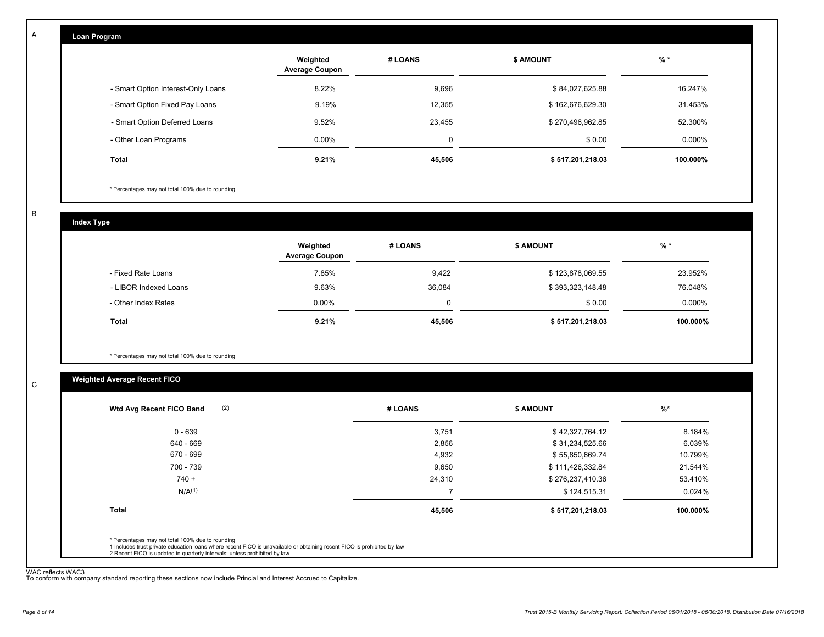| Loan Program                       |                                   |         |                  |          |
|------------------------------------|-----------------------------------|---------|------------------|----------|
|                                    | Weighted<br><b>Average Coupon</b> | # LOANS | <b>\$ AMOUNT</b> | $%$ *    |
| - Smart Option Interest-Only Loans | 8.22%                             | 9,696   | \$84,027,625.88  | 16.247%  |
| - Smart Option Fixed Pay Loans     | 9.19%                             | 12,355  | \$162,676,629.30 | 31.453%  |
| - Smart Option Deferred Loans      | 9.52%                             | 23,455  | \$270,496,962.85 | 52.300%  |
| - Other Loan Programs              | $0.00\%$                          | 0       | \$0.00           | 0.000%   |
| Total                              | 9.21%                             | 45,506  | \$517,201,218.03 | 100.000% |

\* Percentages may not total 100% due to rounding

B

C

A

| <b>Index Type</b>     |                                   |          |                  |          |
|-----------------------|-----------------------------------|----------|------------------|----------|
|                       | Weighted<br><b>Average Coupon</b> | # LOANS  | <b>\$ AMOUNT</b> | $%$ *    |
| - Fixed Rate Loans    | 7.85%                             | 9,422    | \$123,878,069.55 | 23.952%  |
| - LIBOR Indexed Loans | 9.63%                             | 36,084   | \$393,323,148.48 | 76.048%  |
| - Other Index Rates   | $0.00\%$                          | $\Omega$ | \$0.00           | 0.000%   |
| <b>Total</b>          | 9.21%                             | 45,506   | \$517,201,218.03 | 100.000% |

\* Percentages may not total 100% due to rounding

## **Weighted Average Recent FICO**

| $0 - 639$<br>640 - 669 | 3,751<br>2,856 | \$42,327,764.12  | 8.184%   |
|------------------------|----------------|------------------|----------|
|                        |                |                  |          |
|                        |                | \$31,234,525.66  | 6.039%   |
| 670 - 699              | 4,932          | \$55,850,669.74  | 10.799%  |
| 700 - 739              | 9,650          | \$111,426,332.84 | 21.544%  |
| $740 +$                | 24,310         | \$276,237,410.36 | 53.410%  |
| N/A <sup>(1)</sup>     |                | \$124,515.31     | 0.024%   |
| <b>Total</b>           | 45,506         | \$517,201,218.03 | 100.000% |

WAC reflects WAC3 To conform with company standard reporting these sections now include Princial and Interest Accrued to Capitalize.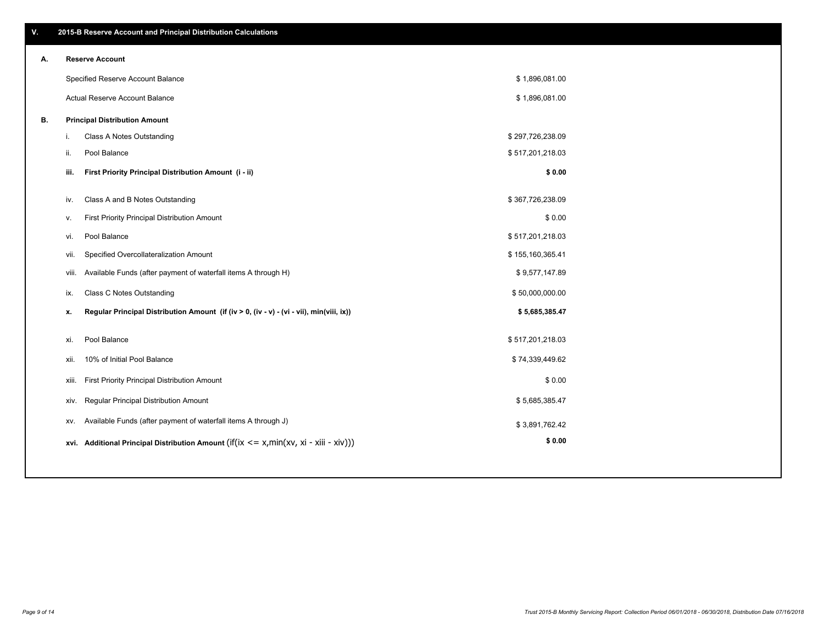\$ 1,896,081.00 \$ 1,896,081.00

| А. | <b>Reserve Account</b>            |
|----|-----------------------------------|
|    | Specified Reserve Account Balance |
|    | Actual Reserve Account Balance    |
|    |                                   |

| В. |  | <b>Principal Distribution Amount</b> |  |
|----|--|--------------------------------------|--|
|----|--|--------------------------------------|--|

| i.    | Class A Notes Outstanding                                                                           | \$297,726,238.09 |  |
|-------|-----------------------------------------------------------------------------------------------------|------------------|--|
| ii.   | Pool Balance                                                                                        | \$517,201,218.03 |  |
| iii.  | First Priority Principal Distribution Amount (i - ii)                                               | \$0.00           |  |
|       |                                                                                                     |                  |  |
| iv.   | Class A and B Notes Outstanding                                                                     | \$367,726,238.09 |  |
| ۷.    | First Priority Principal Distribution Amount                                                        | \$0.00           |  |
| vi.   | Pool Balance                                                                                        | \$517,201,218.03 |  |
| vii.  | Specified Overcollateralization Amount                                                              | \$155,160,365.41 |  |
| viii. | Available Funds (after payment of waterfall items A through H)                                      | \$9,577,147.89   |  |
| ix.   | Class C Notes Outstanding                                                                           | \$50,000,000.00  |  |
| х.    | Regular Principal Distribution Amount (if (iv > 0, (iv - v) - (vi - vii), min(viii, ix))            | \$5,685,385.47   |  |
|       |                                                                                                     |                  |  |
| xi.   | Pool Balance                                                                                        | \$517,201,218.03 |  |
| xii.  | 10% of Initial Pool Balance                                                                         | \$74,339,449.62  |  |
| xiii. | First Priority Principal Distribution Amount                                                        | \$0.00           |  |
| xiv.  | Regular Principal Distribution Amount                                                               | \$5,685,385.47   |  |
| XV.   | Available Funds (after payment of waterfall items A through J)                                      | \$3,891,762.42   |  |
|       | xvi. Additional Principal Distribution Amount (if( $ix \le x$ , min( $xv$ , $xi$ - $xiii - xiv$ ))) | \$0.00           |  |
|       |                                                                                                     |                  |  |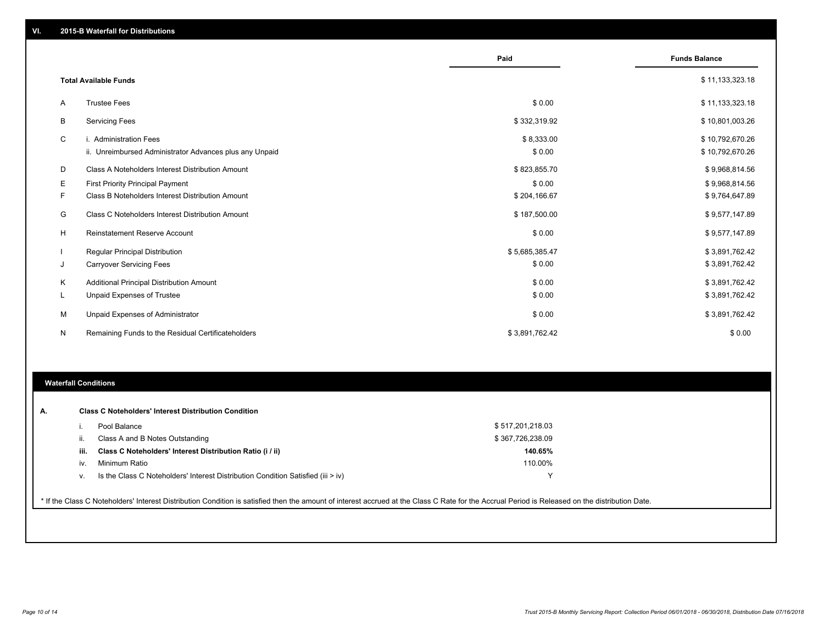|    |                                                         | Paid           | <b>Funds Balance</b> |
|----|---------------------------------------------------------|----------------|----------------------|
|    | <b>Total Available Funds</b>                            |                | \$11,133,323.18      |
| Α  | <b>Trustee Fees</b>                                     | \$0.00         | \$11,133,323.18      |
| В  | <b>Servicing Fees</b>                                   | \$332,319.92   | \$10,801,003.26      |
| C  | i. Administration Fees                                  | \$8,333.00     | \$10,792,670.26      |
|    | ii. Unreimbursed Administrator Advances plus any Unpaid | \$0.00         | \$10,792,670.26      |
| D  | Class A Noteholders Interest Distribution Amount        | \$823,855.70   | \$9,968,814.56       |
| Е  | First Priority Principal Payment                        | \$0.00         | \$9,968,814.56       |
| F. | Class B Noteholders Interest Distribution Amount        | \$204,166.67   | \$9,764,647.89       |
| G  | Class C Noteholders Interest Distribution Amount        | \$187,500.00   | \$9,577,147.89       |
| н  | <b>Reinstatement Reserve Account</b>                    | \$0.00         | \$9,577,147.89       |
|    | Regular Principal Distribution                          | \$5,685,385.47 | \$3,891,762.42       |
| J  | <b>Carryover Servicing Fees</b>                         | \$0.00         | \$3,891,762.42       |
| Κ  | Additional Principal Distribution Amount                | \$0.00         | \$3,891,762.42       |
| L  | Unpaid Expenses of Trustee                              | \$0.00         | \$3,891,762.42       |
| М  | Unpaid Expenses of Administrator                        | \$0.00         | \$3,891,762.42       |
| N  | Remaining Funds to the Residual Certificateholders      | \$3,891,762.42 | \$0.00               |

#### **Waterfall Conditions**

| А. |      | <b>Class C Noteholders' Interest Distribution Condition</b>                      |                  |  |
|----|------|----------------------------------------------------------------------------------|------------------|--|
|    |      | Pool Balance                                                                     | \$517,201,218.03 |  |
|    | н.   | Class A and B Notes Outstanding                                                  | \$367,726,238.09 |  |
|    | iii. | Class C Noteholders' Interest Distribution Ratio (i / ii)                        | 140.65%          |  |
|    | IV.  | Minimum Ratio                                                                    | 110.00%          |  |
|    | ٧.   | Is the Class C Noteholders' Interest Distribution Condition Satisfied (iii > iv) |                  |  |

\* If the Class C Noteholders' Interest Distribution Condition is satisfied then the amount of interest accrued at the Class C Rate for the Accrual Period is Released on the distribution Date.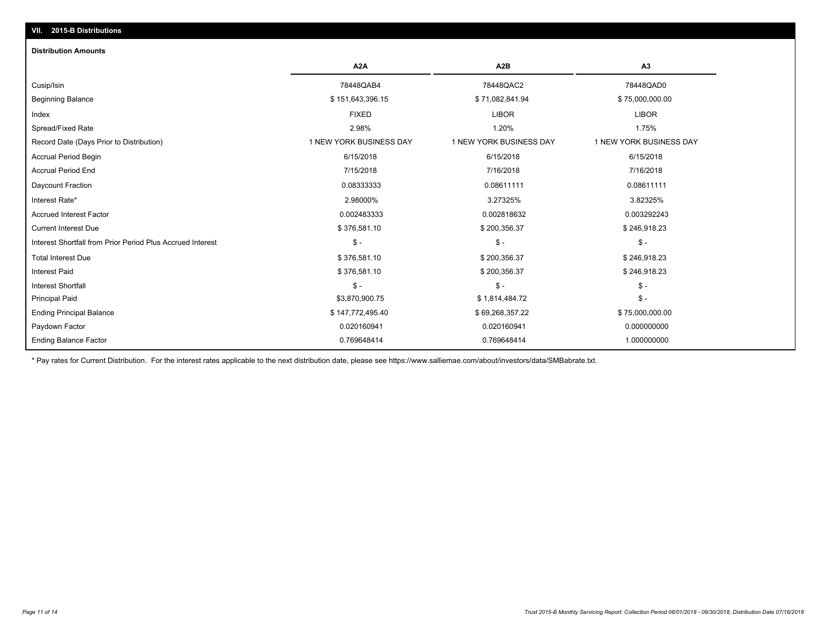# **VII. 2015-B Distributions**

#### **Distribution Amounts**

|                                                            | A <sub>2</sub> A        | A <sub>2</sub> B        | A <sub>3</sub>          |
|------------------------------------------------------------|-------------------------|-------------------------|-------------------------|
| Cusip/Isin                                                 | 78448QAB4               | 78448QAC2               | 78448QAD0               |
| <b>Beginning Balance</b>                                   | \$151,643,396.15        | \$71,082,841.94         | \$75,000,000.00         |
| Index                                                      | <b>FIXED</b>            | <b>LIBOR</b>            | <b>LIBOR</b>            |
| Spread/Fixed Rate                                          | 2.98%                   | 1.20%                   | 1.75%                   |
| Record Date (Days Prior to Distribution)                   | 1 NEW YORK BUSINESS DAY | 1 NEW YORK BUSINESS DAY | 1 NEW YORK BUSINESS DAY |
| <b>Accrual Period Begin</b>                                | 6/15/2018               | 6/15/2018               | 6/15/2018               |
| <b>Accrual Period End</b>                                  | 7/15/2018               | 7/16/2018               | 7/16/2018               |
| Daycount Fraction                                          | 0.08333333              | 0.08611111              | 0.08611111              |
| Interest Rate*                                             | 2.98000%                | 3.27325%                | 3.82325%                |
| <b>Accrued Interest Factor</b>                             | 0.002483333             | 0.002818632             | 0.003292243             |
| <b>Current Interest Due</b>                                | \$376,581.10            | \$200,356.37            | \$246,918.23            |
| Interest Shortfall from Prior Period Plus Accrued Interest | $\mathsf{\$}$ -         | $S -$                   | $$ -$                   |
| <b>Total Interest Due</b>                                  | \$376,581.10            | \$200,356.37            | \$246,918.23            |
| <b>Interest Paid</b>                                       | \$376,581.10            | \$200,356.37            | \$246,918.23            |
| <b>Interest Shortfall</b>                                  | $\mathsf{\$}$ -         | $\mathsf{\$}$ -         | $$ -$                   |
| <b>Principal Paid</b>                                      | \$3,870,900.75          | \$1,814,484.72          | $$ -$                   |
| <b>Ending Principal Balance</b>                            | \$147,772,495.40        | \$69,268,357.22         | \$75,000,000.00         |
| Paydown Factor                                             | 0.020160941             | 0.020160941             | 0.000000000             |
| <b>Ending Balance Factor</b>                               | 0.769648414             | 0.769648414             | 1.000000000             |

\* Pay rates for Current Distribution. For the interest rates applicable to the next distribution date, please see https://www.salliemae.com/about/investors/data/SMBabrate.txt.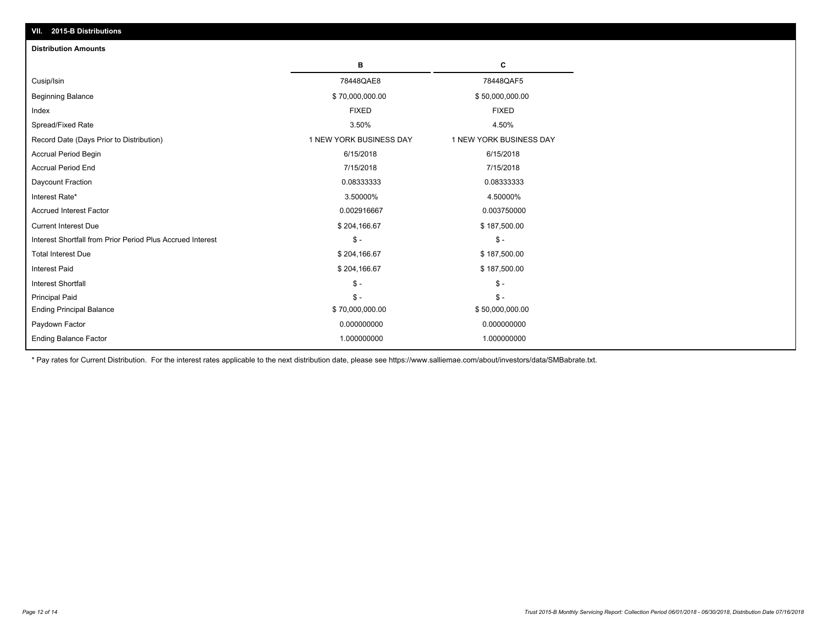| VII. 2015-B Distributions                                  |                         |                         |
|------------------------------------------------------------|-------------------------|-------------------------|
| <b>Distribution Amounts</b>                                |                         |                         |
|                                                            | в                       | C                       |
| Cusip/Isin                                                 | 78448QAE8               | 78448QAF5               |
| <b>Beginning Balance</b>                                   | \$70,000,000.00         | \$50,000,000.00         |
| Index                                                      | <b>FIXED</b>            | <b>FIXED</b>            |
| Spread/Fixed Rate                                          | 3.50%                   | 4.50%                   |
| Record Date (Days Prior to Distribution)                   | 1 NEW YORK BUSINESS DAY | 1 NEW YORK BUSINESS DAY |
| Accrual Period Begin                                       | 6/15/2018               | 6/15/2018               |
| <b>Accrual Period End</b>                                  | 7/15/2018               | 7/15/2018               |
| Daycount Fraction                                          | 0.08333333              | 0.08333333              |
| Interest Rate*                                             | 3.50000%                | 4.50000%                |
| <b>Accrued Interest Factor</b>                             | 0.002916667             | 0.003750000             |
| <b>Current Interest Due</b>                                | \$204,166.67            | \$187,500.00            |
| Interest Shortfall from Prior Period Plus Accrued Interest | $\frac{1}{2}$           | $\mathcal{S}$ -         |
| <b>Total Interest Due</b>                                  | \$204,166.67            | \$187,500.00            |
| <b>Interest Paid</b>                                       | \$204,166.67            | \$187,500.00            |
| <b>Interest Shortfall</b>                                  | $\frac{1}{2}$           | $\mathsf{\$}$ -         |
| <b>Principal Paid</b>                                      | $S -$                   | $S -$                   |
| <b>Ending Principal Balance</b>                            | \$70,000,000.00         | \$50,000,000.00         |
| Paydown Factor                                             | 0.000000000             | 0.000000000             |
| <b>Ending Balance Factor</b>                               | 1.000000000             | 1.000000000             |

\* Pay rates for Current Distribution. For the interest rates applicable to the next distribution date, please see https://www.salliemae.com/about/investors/data/SMBabrate.txt.